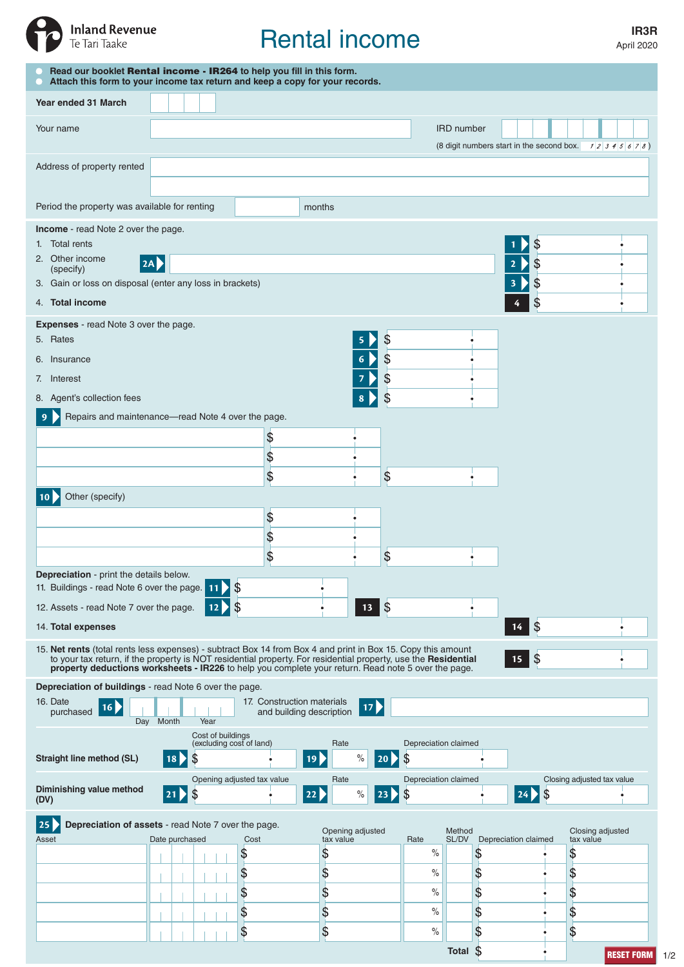

# Rental income

April 2020

| Read our booklet Rental income - IR264 to help you fill in this form.<br>Attach this form to your income tax return and keep a copy for your records.                                                                                                                                                                                           |                 |                                                                               |                            |                          |                               |                    |                            |                 |                     |                      |                                                        |
|-------------------------------------------------------------------------------------------------------------------------------------------------------------------------------------------------------------------------------------------------------------------------------------------------------------------------------------------------|-----------------|-------------------------------------------------------------------------------|----------------------------|--------------------------|-------------------------------|--------------------|----------------------------|-----------------|---------------------|----------------------|--------------------------------------------------------|
| Year ended 31 March                                                                                                                                                                                                                                                                                                                             |                 |                                                                               |                            |                          |                               |                    |                            |                 |                     |                      |                                                        |
| Your name                                                                                                                                                                                                                                                                                                                                       |                 |                                                                               |                            |                          |                               |                    |                            | IRD number      |                     |                      |                                                        |
|                                                                                                                                                                                                                                                                                                                                                 |                 |                                                                               |                            |                          |                               |                    |                            |                 |                     |                      | (8 digit numbers start in the second box. $12345678$ ) |
| Address of property rented                                                                                                                                                                                                                                                                                                                      |                 |                                                                               |                            |                          |                               |                    |                            |                 |                     |                      |                                                        |
|                                                                                                                                                                                                                                                                                                                                                 |                 |                                                                               |                            | months                   |                               |                    |                            |                 |                     |                      |                                                        |
| Period the property was available for renting<br>Income - read Note 2 over the page.                                                                                                                                                                                                                                                            |                 |                                                                               |                            |                          |                               |                    |                            |                 |                     |                      |                                                        |
| 1. Total rents                                                                                                                                                                                                                                                                                                                                  |                 |                                                                               |                            |                          |                               |                    |                            |                 |                     | \$                   |                                                        |
| 2. Other income<br> 2A <br>(specify)                                                                                                                                                                                                                                                                                                            |                 |                                                                               |                            |                          |                               |                    |                            |                 |                     | \$<br>2              |                                                        |
| 3. Gain or loss on disposal (enter any loss in brackets)<br>4. Total income                                                                                                                                                                                                                                                                     |                 |                                                                               |                            |                          |                               |                    |                            |                 |                     | \$<br>3<br>\$        |                                                        |
| <b>Expenses</b> - read Note 3 over the page.                                                                                                                                                                                                                                                                                                    |                 |                                                                               |                            |                          |                               |                    |                            |                 |                     |                      |                                                        |
| \$<br>5. Rates                                                                                                                                                                                                                                                                                                                                  |                 |                                                                               |                            |                          |                               |                    |                            |                 |                     |                      |                                                        |
| \$<br>6<br>6. Insurance                                                                                                                                                                                                                                                                                                                         |                 |                                                                               |                            |                          |                               |                    |                            |                 |                     |                      |                                                        |
| \$<br>7. Interest                                                                                                                                                                                                                                                                                                                               |                 |                                                                               |                            |                          |                               |                    |                            |                 |                     |                      |                                                        |
| 8. Agent's collection fees<br>Repairs and maintenance—read Note 4 over the page.<br>9                                                                                                                                                                                                                                                           |                 |                                                                               |                            |                          |                               | \$                 |                            |                 |                     |                      |                                                        |
|                                                                                                                                                                                                                                                                                                                                                 |                 |                                                                               | $\frac{1}{2}$              |                          |                               |                    |                            |                 |                     |                      |                                                        |
|                                                                                                                                                                                                                                                                                                                                                 |                 |                                                                               | \$                         |                          |                               |                    |                            |                 |                     |                      |                                                        |
|                                                                                                                                                                                                                                                                                                                                                 |                 |                                                                               | $\frac{1}{2}$              |                          |                               | \$                 |                            |                 |                     |                      |                                                        |
| Other (specify)                                                                                                                                                                                                                                                                                                                                 |                 |                                                                               |                            |                          |                               |                    |                            |                 |                     |                      |                                                        |
|                                                                                                                                                                                                                                                                                                                                                 |                 |                                                                               | $\frac{1}{2}$<br>\$        |                          |                               |                    |                            |                 |                     |                      |                                                        |
|                                                                                                                                                                                                                                                                                                                                                 |                 |                                                                               | \$                         |                          |                               | \$                 |                            |                 |                     |                      |                                                        |
| <b>Depreciation</b> - print the details below.<br>\$<br>11. Buildings - read Note 6 over the page.<br>11                                                                                                                                                                                                                                        |                 |                                                                               |                            |                          |                               |                    |                            |                 |                     |                      |                                                        |
| \$<br>\$<br>13<br>12. Assets - read Note 7 over the page.<br>12                                                                                                                                                                                                                                                                                 |                 |                                                                               |                            |                          |                               |                    |                            |                 |                     |                      |                                                        |
| 14. Total expenses                                                                                                                                                                                                                                                                                                                              |                 |                                                                               |                            |                          |                               |                    |                            |                 | $\mathcal{S}$<br>14 |                      |                                                        |
| 15. Net rents (total rents less expenses) - subtract Box 14 from Box 4 and print in Box 15. Copy this amount<br> \$<br>to your tax return, if the property is NOT residential property. For residential property, use the Residential property deductions worksheets - IR226 to help you complete your return. Read note 5 over the page.<br>15 |                 |                                                                               |                            |                          |                               |                    |                            |                 |                     |                      |                                                        |
| Depreciation of buildings - read Note 6 over the page.                                                                                                                                                                                                                                                                                          |                 |                                                                               |                            |                          |                               |                    |                            |                 |                     |                      |                                                        |
| 16. Date<br>16<br>purchased                                                                                                                                                                                                                                                                                                                     | Day Month       | Year                                                                          | 17. Construction materials | and building description |                               | $\overline{17}$    |                            |                 |                     |                      |                                                        |
|                                                                                                                                                                                                                                                                                                                                                 |                 | Cost of buildings                                                             | (excluding cost of land)   |                          | Rate                          |                    | Depreciation claimed       |                 |                     |                      |                                                        |
| <b>Straight line method (SL)</b>                                                                                                                                                                                                                                                                                                                | 18 <sub>b</sub> | \$                                                                            |                            | 19)                      | $\%$                          | $\vert$ 20 $\vert$ | \$                         |                 |                     |                      |                                                        |
| Diminishing value method<br>(DV)                                                                                                                                                                                                                                                                                                                | 21              | \$                                                                            | Opening adjusted tax value | 22                       | Rate<br>$\%$                  | $ 23\rangle$       | Depreciation claimed<br>\$ |                 |                     | \$<br>24             | Closing adjusted tax value                             |
| 25                                                                                                                                                                                                                                                                                                                                              |                 |                                                                               |                            |                          |                               |                    |                            |                 |                     |                      |                                                        |
| Asset                                                                                                                                                                                                                                                                                                                                           |                 | Depreciation of assets - read Note 7 over the page.<br>Date purchased<br>Cost |                            |                          | Opening adjusted<br>tax value |                    | Rate                       | Method<br>SL/DV |                     | Depreciation claimed | Closing adjusted<br>tax value                          |
|                                                                                                                                                                                                                                                                                                                                                 |                 |                                                                               | \$                         | \$                       |                               |                    | $\%$                       |                 | \$                  |                      | \$                                                     |
|                                                                                                                                                                                                                                                                                                                                                 |                 |                                                                               | \$<br>\$                   | \$<br>\$                 |                               |                    | $\%$<br>$\%$               |                 | \$<br>\$            |                      | \$<br>\$                                               |
|                                                                                                                                                                                                                                                                                                                                                 |                 |                                                                               | \$                         | \$                       |                               |                    | $\%$                       |                 | \$                  |                      | \$                                                     |
|                                                                                                                                                                                                                                                                                                                                                 |                 |                                                                               | \$                         | \$                       |                               |                    | $\%$                       |                 | \$                  |                      | \$                                                     |
|                                                                                                                                                                                                                                                                                                                                                 |                 |                                                                               |                            |                          |                               |                    |                            | Total \$        |                     |                      | <b>RESET FORM</b>                                      |